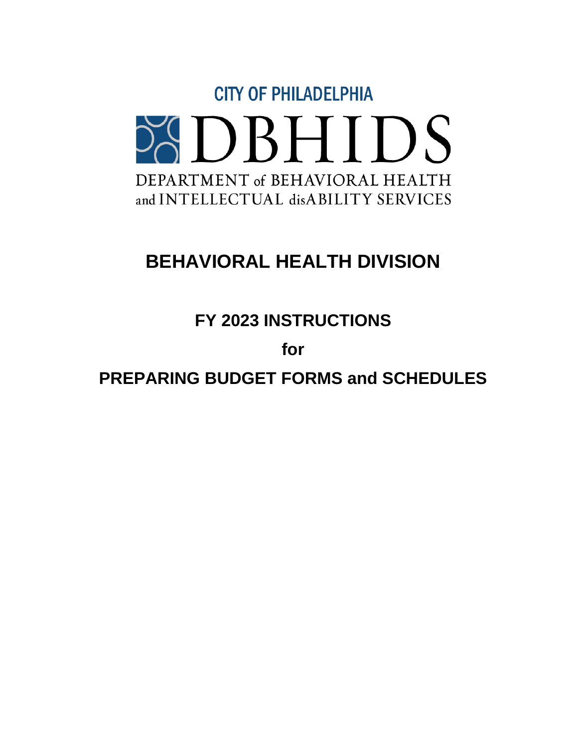

# **BEHAVIORAL HEALTH DIVISION**

**FY 2023 INSTRUCTIONS**

**for**

**PREPARING BUDGET FORMS and SCHEDULES**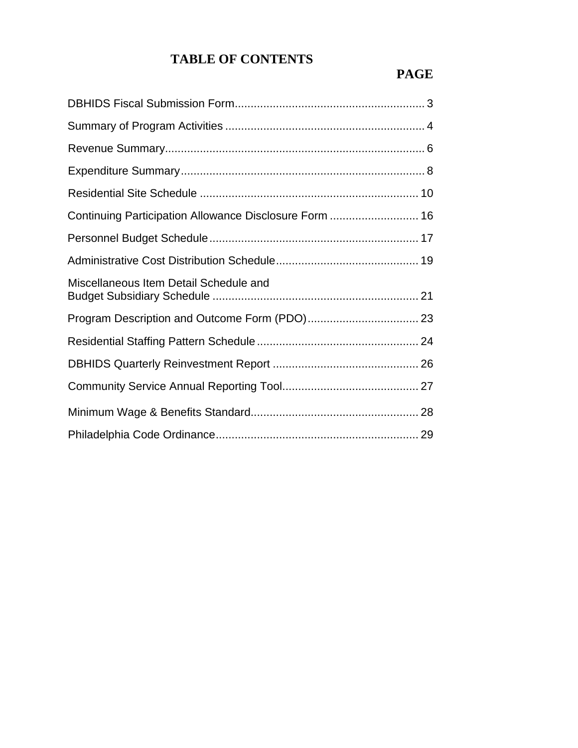# **TABLE OF CONTENTS**

# **PAGE**

| Continuing Participation Allowance Disclosure Form  16 |  |
|--------------------------------------------------------|--|
|                                                        |  |
|                                                        |  |
| Miscellaneous Item Detail Schedule and                 |  |
|                                                        |  |
|                                                        |  |
|                                                        |  |
|                                                        |  |
|                                                        |  |
|                                                        |  |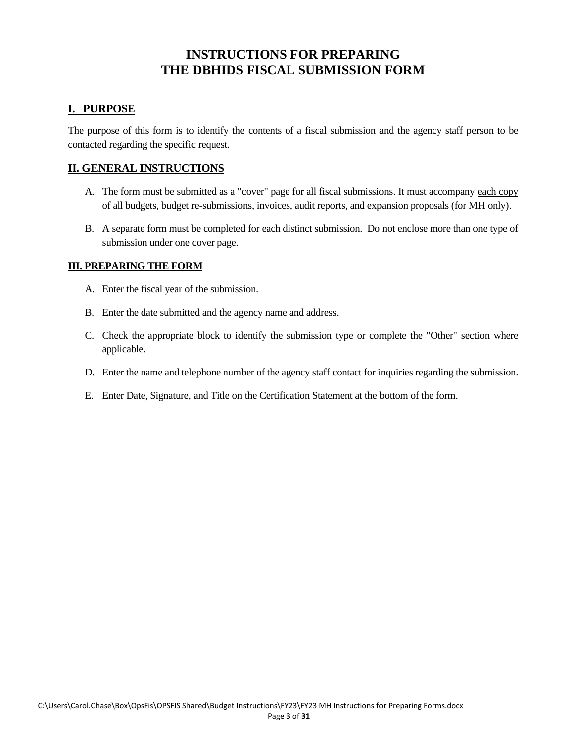### **INSTRUCTIONS FOR PREPARING THE DBHIDS FISCAL SUBMISSION FORM**

#### **I. PURPOSE**

The purpose of this form is to identify the contents of a fiscal submission and the agency staff person to be contacted regarding the specific request.

#### **II. GENERAL INSTRUCTIONS**

- A. The form must be submitted as a "cover" page for all fiscal submissions. It must accompany each copy of all budgets, budget re-submissions, invoices, audit reports, and expansion proposals (for MH only).
- B. A separate form must be completed for each distinct submission. Do not enclose more than one type of submission under one cover page.

- A. Enter the fiscal year of the submission.
- B. Enter the date submitted and the agency name and address.
- C. Check the appropriate block to identify the submission type or complete the "Other" section where applicable.
- D. Enter the name and telephone number of the agency staff contact for inquiries regarding the submission.
- E. Enter Date, Signature, and Title on the Certification Statement at the bottom of the form.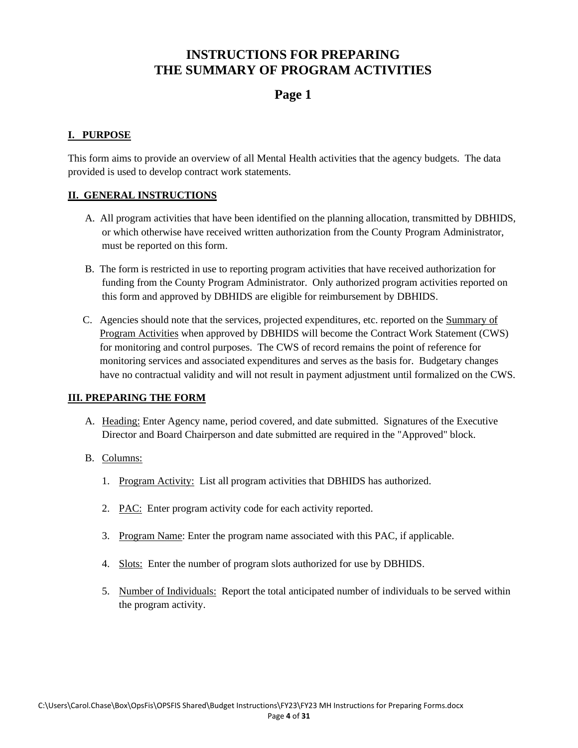### **INSTRUCTIONS FOR PREPARING THE SUMMARY OF PROGRAM ACTIVITIES**

### **Page 1**

#### **I. PURPOSE**

This form aims to provide an overview of all Mental Health activities that the agency budgets. The data provided is used to develop contract work statements.

#### **II. GENERAL INSTRUCTIONS**

- A. All program activities that have been identified on the planning allocation, transmitted by DBHIDS, or which otherwise have received written authorization from the County Program Administrator, must be reported on this form.
- B. The form is restricted in use to reporting program activities that have received authorization for funding from the County Program Administrator. Only authorized program activities reported on this form and approved by DBHIDS are eligible for reimbursement by DBHIDS.
- C. Agencies should note that the services, projected expenditures, etc. reported on the Summary of Program Activities when approved by DBHIDS will become the Contract Work Statement (CWS) for monitoring and control purposes. The CWS of record remains the point of reference for monitoring services and associated expenditures and serves as the basis for. Budgetary changes have no contractual validity and will not result in payment adjustment until formalized on the CWS.

- A. Heading: Enter Agency name, period covered, and date submitted. Signatures of the Executive Director and Board Chairperson and date submitted are required in the "Approved" block.
- B. Columns:
	- 1. Program Activity: List all program activities that DBHIDS has authorized.
	- 2. PAC: Enter program activity code for each activity reported.
	- 3. Program Name: Enter the program name associated with this PAC, if applicable.
	- 4. Slots: Enter the number of program slots authorized for use by DBHIDS.
	- 5. Number of Individuals: Report the total anticipated number of individuals to be served within the program activity.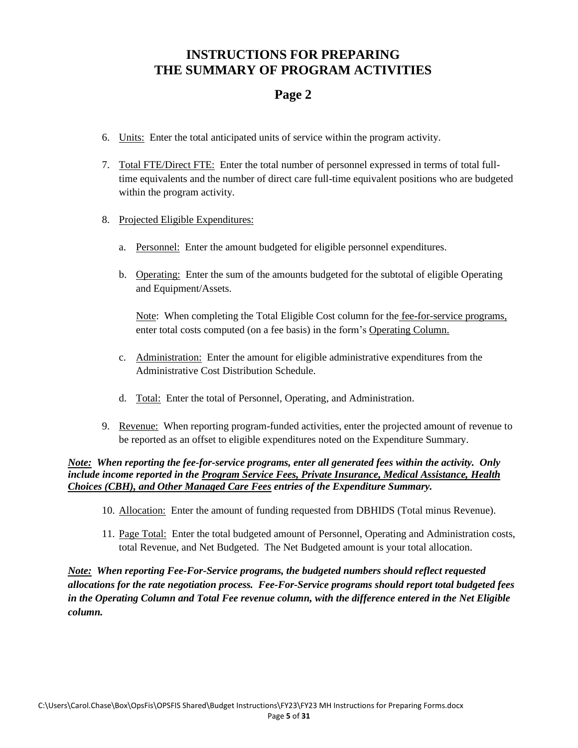### **INSTRUCTIONS FOR PREPARING THE SUMMARY OF PROGRAM ACTIVITIES**

### **Page 2**

- 6. Units: Enter the total anticipated units of service within the program activity.
- 7. Total FTE/Direct FTE: Enter the total number of personnel expressed in terms of total fulltime equivalents and the number of direct care full-time equivalent positions who are budgeted within the program activity.
- 8. Projected Eligible Expenditures:
	- a. Personnel: Enter the amount budgeted for eligible personnel expenditures.
	- b. Operating: Enter the sum of the amounts budgeted for the subtotal of eligible Operating and Equipment/Assets.

Note: When completing the Total Eligible Cost column for the fee-for-service programs, enter total costs computed (on a fee basis) in the form's Operating Column.

- c. Administration: Enter the amount for eligible administrative expenditures from the Administrative Cost Distribution Schedule.
- d. Total: Enter the total of Personnel, Operating, and Administration.
- 9. Revenue: When reporting program-funded activities, enter the projected amount of revenue to be reported as an offset to eligible expenditures noted on the Expenditure Summary.

*Note: When reporting the fee-for-service programs, enter all generated fees within the activity. Only include income reported in the Program Service Fees, Private Insurance, Medical Assistance, Health Choices (CBH), and Other Managed Care Fees entries of the Expenditure Summary.*

- 10. Allocation: Enter the amount of funding requested from DBHIDS (Total minus Revenue).
- 11. Page Total: Enter the total budgeted amount of Personnel, Operating and Administration costs, total Revenue, and Net Budgeted. The Net Budgeted amount is your total allocation.

*Note: When reporting Fee-For-Service programs, the budgeted numbers should reflect requested allocations for the rate negotiation process. Fee-For-Service programs should report total budgeted fees in the Operating Column and Total Fee revenue column, with the difference entered in the Net Eligible column.*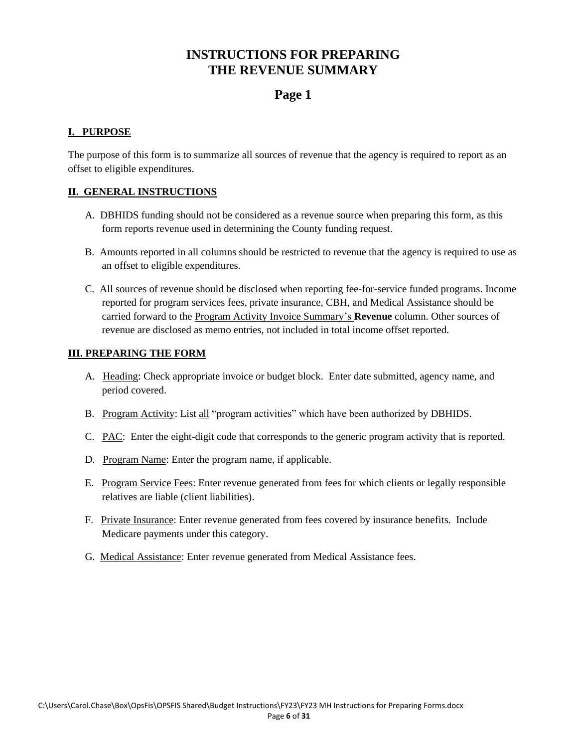### **INSTRUCTIONS FOR PREPARING THE REVENUE SUMMARY**

### **Page 1**

#### **I. PURPOSE**

The purpose of this form is to summarize all sources of revenue that the agency is required to report as an offset to eligible expenditures.

#### **II. GENERAL INSTRUCTIONS**

- A. DBHIDS funding should not be considered as a revenue source when preparing this form, as this form reports revenue used in determining the County funding request.
- B. Amounts reported in all columns should be restricted to revenue that the agency is required to use as an offset to eligible expenditures.
- C. All sources of revenue should be disclosed when reporting fee-for-service funded programs. Income reported for program services fees, private insurance, CBH, and Medical Assistance should be carried forward to the Program Activity Invoice Summary's **Revenue** column. Other sources of revenue are disclosed as memo entries, not included in total income offset reported.

- A. Heading: Check appropriate invoice or budget block. Enter date submitted, agency name, and period covered.
- B. Program Activity: List all "program activities" which have been authorized by DBHIDS.
- C. PAC: Enter the eight-digit code that corresponds to the generic program activity that is reported.
- D. Program Name: Enter the program name, if applicable.
- E. Program Service Fees: Enter revenue generated from fees for which clients or legally responsible relatives are liable (client liabilities).
- F. Private Insurance: Enter revenue generated from fees covered by insurance benefits. Include Medicare payments under this category.
- G. Medical Assistance: Enter revenue generated from Medical Assistance fees.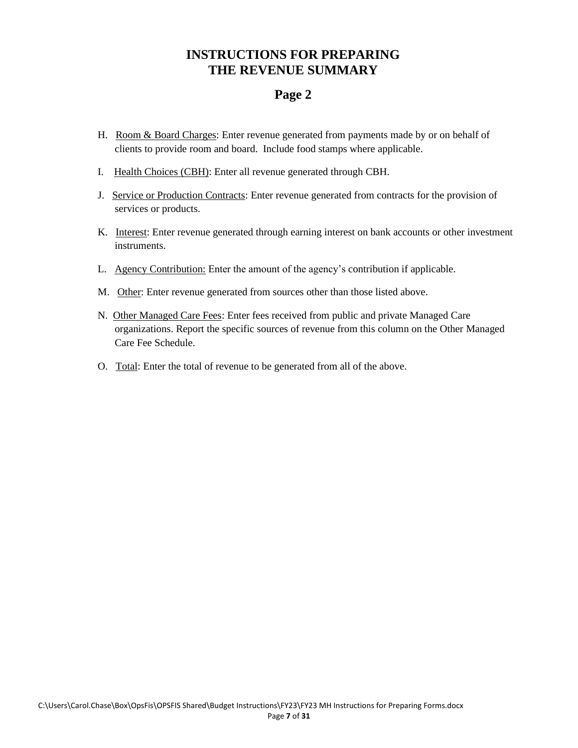### **INSTRUCTIONS FOR PREPARING THE REVENUE SUMMARY**

### **Page 2**

- H. Room & Board Charges: Enter revenue generated from payments made by or on behalf of clients to provide room and board. Include food stamps where applicable.
- I. Health Choices (CBH): Enter all revenue generated through CBH.
- J. Service or Production Contracts: Enter revenue generated from contracts for the provision of services or products.
- K. Interest: Enter revenue generated through earning interest on bank accounts or other investment instruments.
- L. Agency Contribution: Enter the amount of the agency's contribution if applicable.
- M. Other: Enter revenue generated from sources other than those listed above.
- N. Other Managed Care Fees: Enter fees received from public and private Managed Care organizations. Report the specific sources of revenue from this column on the Other Managed Care Fee Schedule.
- O. Total: Enter the total of revenue to be generated from all of the above.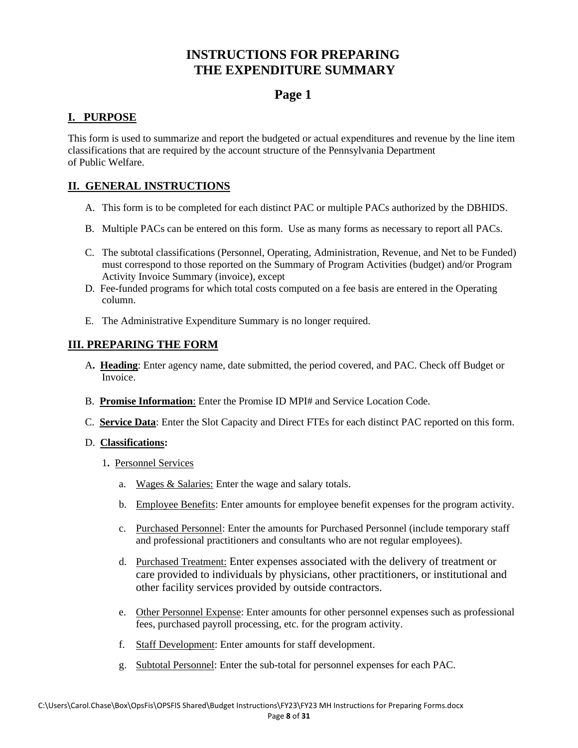### **INSTRUCTIONS FOR PREPARING THE EXPENDITURE SUMMARY**

### **Page 1**

#### **I. PURPOSE**

This form is used to summarize and report the budgeted or actual expenditures and revenue by the line item classifications that are required by the account structure of the Pennsylvania Department of Public Welfare.

#### **II. GENERAL INSTRUCTIONS**

- A. This form is to be completed for each distinct PAC or multiple PACs authorized by the DBHIDS.
- B. Multiple PACs can be entered on this form. Use as many forms as necessary to report all PACs.
- C. The subtotal classifications (Personnel, Operating, Administration, Revenue, and Net to be Funded) must correspond to those reported on the Summary of Program Activities (budget) and/or Program Activity Invoice Summary (invoice), except
- D. Fee-funded programs for which total costs computed on a fee basis are entered in the Operating column.
- E. The Administrative Expenditure Summary is no longer required.

#### **III. PREPARING THE FORM**

- A**. Heading**: Enter agency name, date submitted, the period covered, and PAC. Check off Budget or Invoice.
- B. **Promise Information**: Enter the Promise ID MPI# and Service Location Code.
- C. **Service Data**: Enter the Slot Capacity and Direct FTEs for each distinct PAC reported on this form.

#### D. **Classifications:**

- 1**.** Personnel Services
	- a. Wages & Salaries: Enter the wage and salary totals.
	- b. Employee Benefits: Enter amounts for employee benefit expenses for the program activity.
	- c. Purchased Personnel: Enter the amounts for Purchased Personnel (include temporary staff and professional practitioners and consultants who are not regular employees).
	- d. Purchased Treatment: Enter expenses associated with the delivery of treatment or care provided to individuals by physicians, other practitioners, or institutional and other facility services provided by outside contractors.
	- e. Other Personnel Expense: Enter amounts for other personnel expenses such as professional fees, purchased payroll processing, etc. for the program activity.
	- f. Staff Development: Enter amounts for staff development.
	- g. Subtotal Personnel: Enter the sub-total for personnel expenses for each PAC.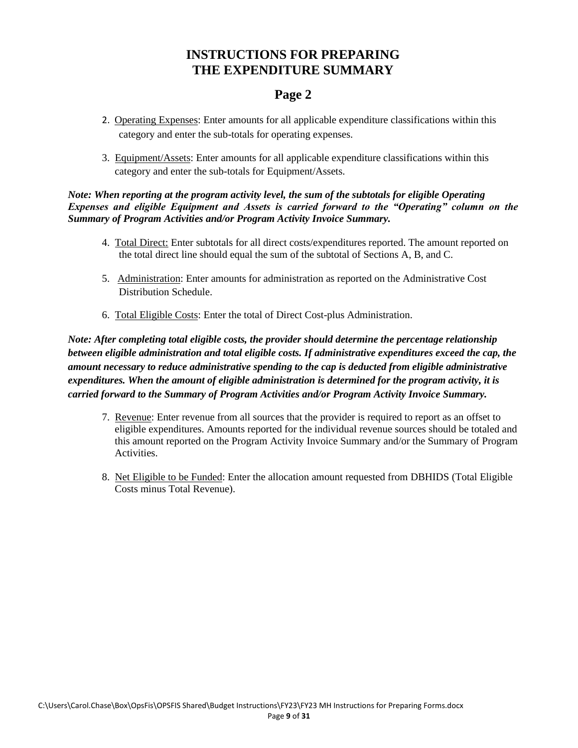### **INSTRUCTIONS FOR PREPARING THE EXPENDITURE SUMMARY**

### **Page 2**

- 2. Operating Expenses: Enter amounts for all applicable expenditure classifications within this category and enter the sub-totals for operating expenses.
- 3. Equipment/Assets: Enter amounts for all applicable expenditure classifications within this category and enter the sub-totals for Equipment/Assets.

*Note: When reporting at the program activity level, the sum of the subtotals for eligible Operating Expenses and eligible Equipment and Assets is carried forward to the "Operating" column on the Summary of Program Activities and/or Program Activity Invoice Summary.*

- 4. Total Direct: Enter subtotals for all direct costs/expenditures reported. The amount reported on the total direct line should equal the sum of the subtotal of Sections A, B, and C.
- 5. Administration: Enter amounts for administration as reported on the Administrative Cost Distribution Schedule.
- 6. Total Eligible Costs: Enter the total of Direct Cost-plus Administration.

*Note: After completing total eligible costs, the provider should determine the percentage relationship between eligible administration and total eligible costs. If administrative expenditures exceed the cap, the amount necessary to reduce administrative spending to the cap is deducted from eligible administrative expenditures. When the amount of eligible administration is determined for the program activity, it is carried forward to the Summary of Program Activities and/or Program Activity Invoice Summary.*

- 7. Revenue: Enter revenue from all sources that the provider is required to report as an offset to eligible expenditures. Amounts reported for the individual revenue sources should be totaled and this amount reported on the Program Activity Invoice Summary and/or the Summary of Program Activities.
- 8. Net Eligible to be Funded: Enter the allocation amount requested from DBHIDS (Total Eligible Costs minus Total Revenue).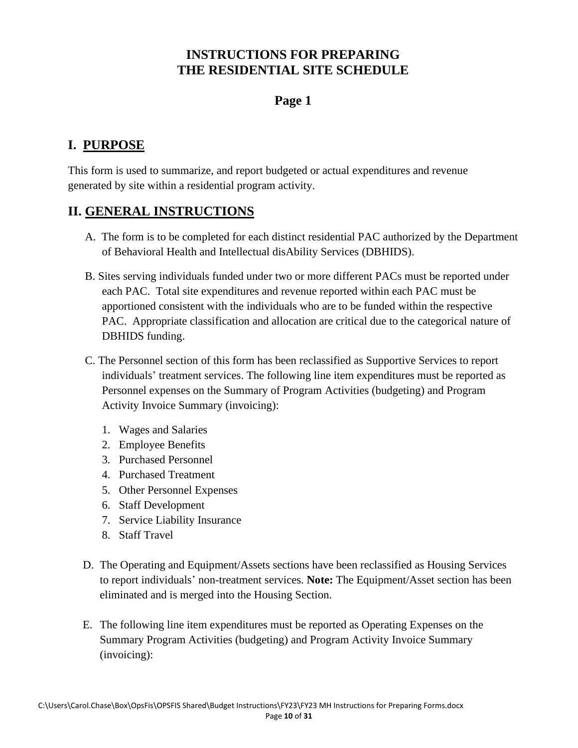### **Page 1**

# **I. PURPOSE**

This form is used to summarize, and report budgeted or actual expenditures and revenue generated by site within a residential program activity.

### **II. GENERAL INSTRUCTIONS**

- A. The form is to be completed for each distinct residential PAC authorized by the Department of Behavioral Health and Intellectual disAbility Services (DBHIDS).
- B. Sites serving individuals funded under two or more different PACs must be reported under each PAC. Total site expenditures and revenue reported within each PAC must be apportioned consistent with the individuals who are to be funded within the respective PAC. Appropriate classification and allocation are critical due to the categorical nature of DBHIDS funding.
- C. The Personnel section of this form has been reclassified as Supportive Services to report individuals' treatment services. The following line item expenditures must be reported as Personnel expenses on the Summary of Program Activities (budgeting) and Program Activity Invoice Summary (invoicing):
	- 1. Wages and Salaries
	- 2. Employee Benefits
	- 3. Purchased Personnel
	- 4. Purchased Treatment
	- 5. Other Personnel Expenses
	- 6. Staff Development
	- 7. Service Liability Insurance
	- 8. Staff Travel
- D. The Operating and Equipment/Assets sections have been reclassified as Housing Services to report individuals' non-treatment services. **Note:** The Equipment/Asset section has been eliminated and is merged into the Housing Section.
- E. The following line item expenditures must be reported as Operating Expenses on the Summary Program Activities (budgeting) and Program Activity Invoice Summary (invoicing):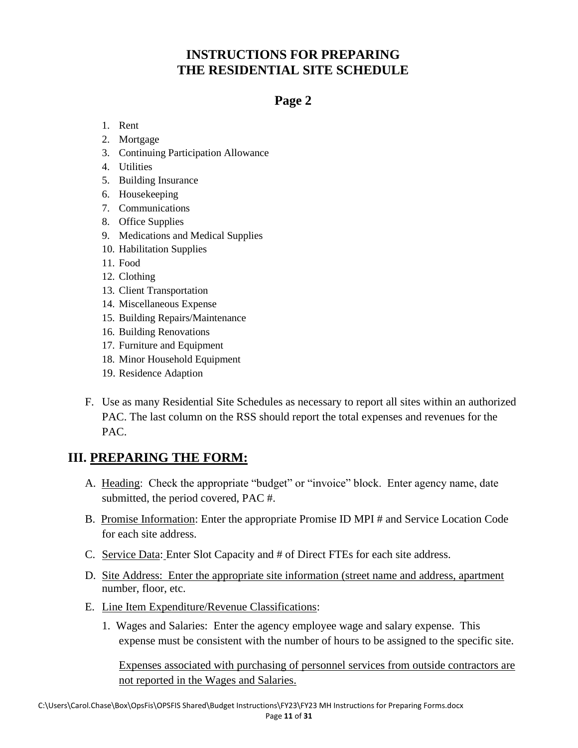### **Page 2**

- 1. Rent
- 2. Mortgage
- 3. Continuing Participation Allowance
- 4. Utilities
- 5. Building Insurance
- 6. Housekeeping
- 7. Communications
- 8. Office Supplies
- 9. Medications and Medical Supplies
- 10. Habilitation Supplies
- 11. Food
- 12. Clothing
- 13. Client Transportation
- 14. Miscellaneous Expense
- 15. Building Repairs/Maintenance
- 16. Building Renovations
- 17. Furniture and Equipment
- 18. Minor Household Equipment
- 19. Residence Adaption
- F. Use as many Residential Site Schedules as necessary to report all sites within an authorized PAC. The last column on the RSS should report the total expenses and revenues for the PAC.

### **III. PREPARING THE FORM:**

- A. Heading: Check the appropriate "budget" or "invoice" block. Enter agency name, date submitted, the period covered, PAC #.
- B. Promise Information: Enter the appropriate Promise ID MPI # and Service Location Code for each site address.
- C. Service Data: Enter Slot Capacity and # of Direct FTEs for each site address.
- D. Site Address: Enter the appropriate site information (street name and address, apartment number, floor, etc.
- E. Line Item Expenditure/Revenue Classifications:
	- 1. Wages and Salaries: Enter the agency employee wage and salary expense. This expense must be consistent with the number of hours to be assigned to the specific site.

Expenses associated with purchasing of personnel services from outside contractors are not reported in the Wages and Salaries.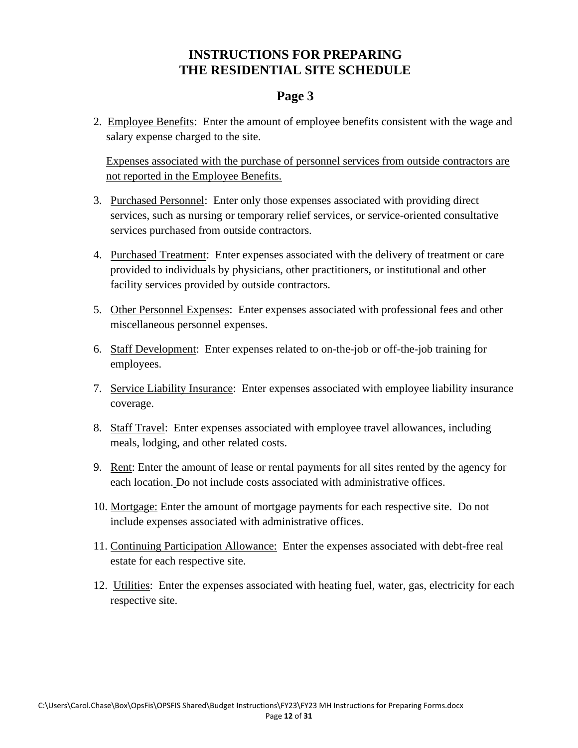#### **Page 3**

2. Employee Benefits: Enter the amount of employee benefits consistent with the wage and salary expense charged to the site.

Expenses associated with the purchase of personnel services from outside contractors are not reported in the Employee Benefits.

- 3. Purchased Personnel: Enter only those expenses associated with providing direct services, such as nursing or temporary relief services, or service-oriented consultative services purchased from outside contractors.
- 4. Purchased Treatment: Enter expenses associated with the delivery of treatment or care provided to individuals by physicians, other practitioners, or institutional and other facility services provided by outside contractors.
- 5. Other Personnel Expenses: Enter expenses associated with professional fees and other miscellaneous personnel expenses.
- 6. Staff Development: Enter expenses related to on-the-job or off-the-job training for employees.
- 7. Service Liability Insurance: Enter expenses associated with employee liability insurance coverage.
- 8. Staff Travel: Enter expenses associated with employee travel allowances, including meals, lodging, and other related costs.
- 9. Rent: Enter the amount of lease or rental payments for all sites rented by the agency for each location. Do not include costs associated with administrative offices.
- 10. Mortgage: Enter the amount of mortgage payments for each respective site. Do not include expenses associated with administrative offices.
- 11. Continuing Participation Allowance: Enter the expenses associated with debt-free real estate for each respective site.
- 12. Utilities: Enter the expenses associated with heating fuel, water, gas, electricity for each respective site.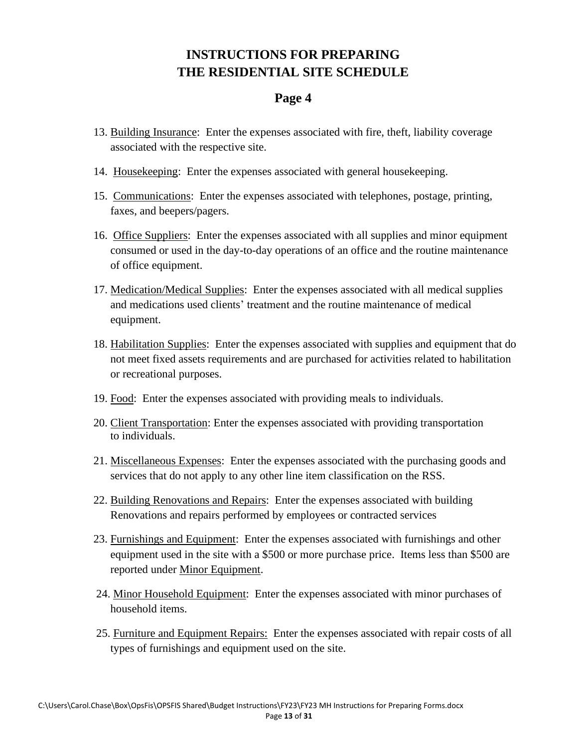#### **Page 4**

- 13. Building Insurance: Enter the expenses associated with fire, theft, liability coverage associated with the respective site.
- 14. Housekeeping: Enter the expenses associated with general housekeeping.
- 15. Communications: Enter the expenses associated with telephones, postage, printing, faxes, and beepers/pagers.
- 16. Office Suppliers: Enter the expenses associated with all supplies and minor equipment consumed or used in the day-to-day operations of an office and the routine maintenance of office equipment.
- 17. Medication/Medical Supplies: Enter the expenses associated with all medical supplies and medications used clients' treatment and the routine maintenance of medical equipment.
- 18. Habilitation Supplies: Enter the expenses associated with supplies and equipment that do not meet fixed assets requirements and are purchased for activities related to habilitation or recreational purposes.
- 19. Food: Enter the expenses associated with providing meals to individuals.
- 20. Client Transportation: Enter the expenses associated with providing transportation to individuals.
- 21. Miscellaneous Expenses: Enter the expenses associated with the purchasing goods and services that do not apply to any other line item classification on the RSS.
- 22. Building Renovations and Repairs: Enter the expenses associated with building Renovations and repairs performed by employees or contracted services
- 23. Furnishings and Equipment: Enter the expenses associated with furnishings and other equipment used in the site with a \$500 or more purchase price. Items less than \$500 are reported under Minor Equipment.
- 24. Minor Household Equipment: Enter the expenses associated with minor purchases of household items.
- 25. Furniture and Equipment Repairs: Enter the expenses associated with repair costs of all types of furnishings and equipment used on the site.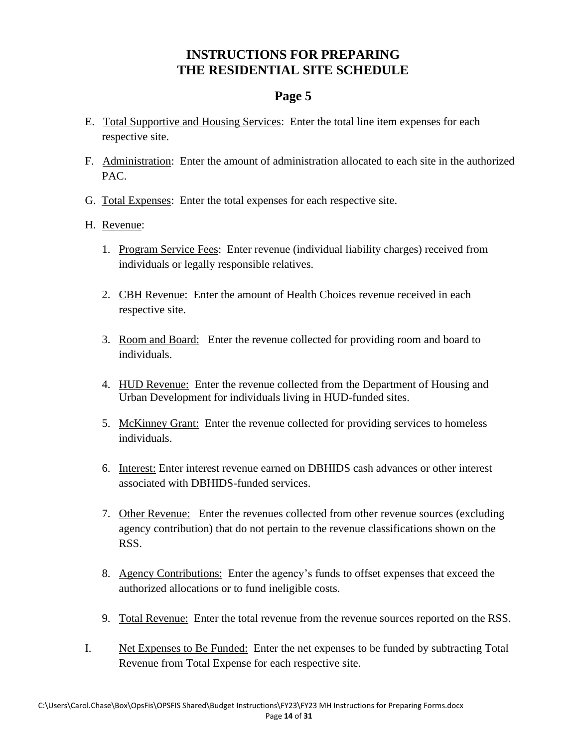### **Page 5**

- E. Total Supportive and Housing Services: Enter the total line item expenses for each respective site.
- F. Administration: Enter the amount of administration allocated to each site in the authorized PAC.
- G. Total Expenses: Enter the total expenses for each respective site.
- H. Revenue:
	- 1. Program Service Fees: Enter revenue (individual liability charges) received from individuals or legally responsible relatives.
	- 2. CBH Revenue: Enter the amount of Health Choices revenue received in each respective site.
	- 3. Room and Board: Enter the revenue collected for providing room and board to individuals.
	- 4. HUD Revenue: Enter the revenue collected from the Department of Housing and Urban Development for individuals living in HUD-funded sites.
	- 5. McKinney Grant: Enter the revenue collected for providing services to homeless individuals.
	- 6. Interest: Enter interest revenue earned on DBHIDS cash advances or other interest associated with DBHIDS-funded services.
	- 7. Other Revenue: Enter the revenues collected from other revenue sources (excluding agency contribution) that do not pertain to the revenue classifications shown on the RSS.
	- 8. Agency Contributions: Enter the agency's funds to offset expenses that exceed the authorized allocations or to fund ineligible costs.
	- 9. Total Revenue:Enter the total revenue from the revenue sources reported on the RSS.
- I. Net Expenses to Be Funded: Enter the net expenses to be funded by subtracting Total Revenue from Total Expense for each respective site.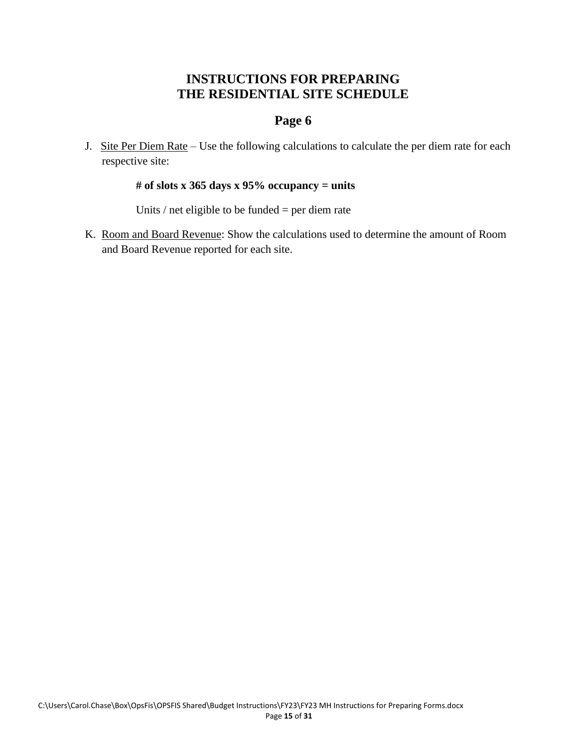### **Page 6**

J. Site Per Diem Rate – Use the following calculations to calculate the per diem rate for each respective site:

#### **# of slots x 365 days x 95% occupancy = units**

Units / net eligible to be funded = per diem rate

K. Room and Board Revenue: Show the calculations used to determine the amount of Room and Board Revenue reported for each site.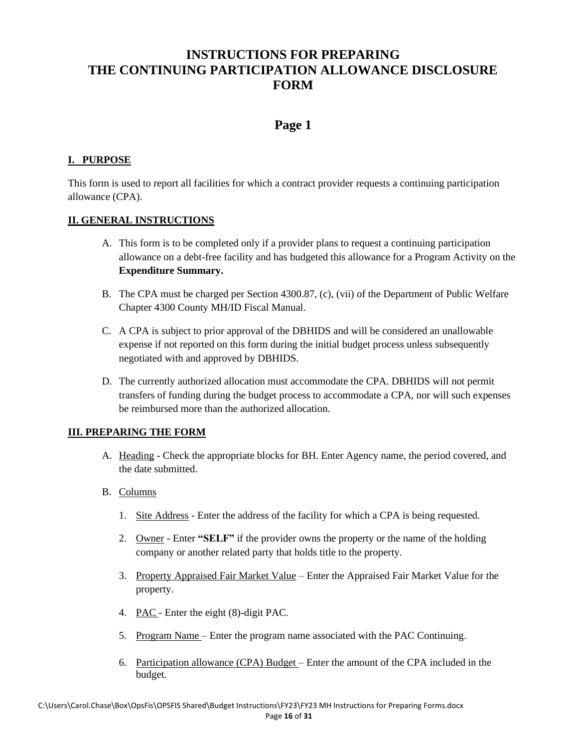### **INSTRUCTIONS FOR PREPARING THE CONTINUING PARTICIPATION ALLOWANCE DISCLOSURE FORM**

### **Page 1**

#### **I. PURPOSE**

This form is used to report all facilities for which a contract provider requests a continuing participation allowance (CPA).

#### **II. GENERAL INSTRUCTIONS**

- A. This form is to be completed only if a provider plans to request a continuing participation allowance on a debt-free facility and has budgeted this allowance for a Program Activity on the **Expenditure Summary.**
- B. The CPA must be charged per Section 4300.87, (c), (vii) of the Department of Public Welfare Chapter 4300 County MH/ID Fiscal Manual.
- C. A CPA is subject to prior approval of the DBHIDS and will be considered an unallowable expense if not reported on this form during the initial budget process unless subsequently negotiated with and approved by DBHIDS.
- D. The currently authorized allocation must accommodate the CPA. DBHIDS will not permit transfers of funding during the budget process to accommodate a CPA, nor will such expenses be reimbursed more than the authorized allocation.

- A. Heading Check the appropriate blocks for BH. Enter Agency name, the period covered, and the date submitted.
- B. Columns
	- 1. Site Address Enter the address of the facility for which a CPA is being requested.
	- 2. Owner Enter **"SELF"** if the provider owns the property or the name of the holding company or another related party that holds title to the property.
	- 3. Property Appraised Fair Market Value Enter the Appraised Fair Market Value for the property.
	- 4. PAC Enter the eight (8)-digit PAC.
	- 5. Program Name Enter the program name associated with the PAC Continuing.
	- 6. Participation allowance (CPA) Budget Enter the amount of the CPA included in the budget.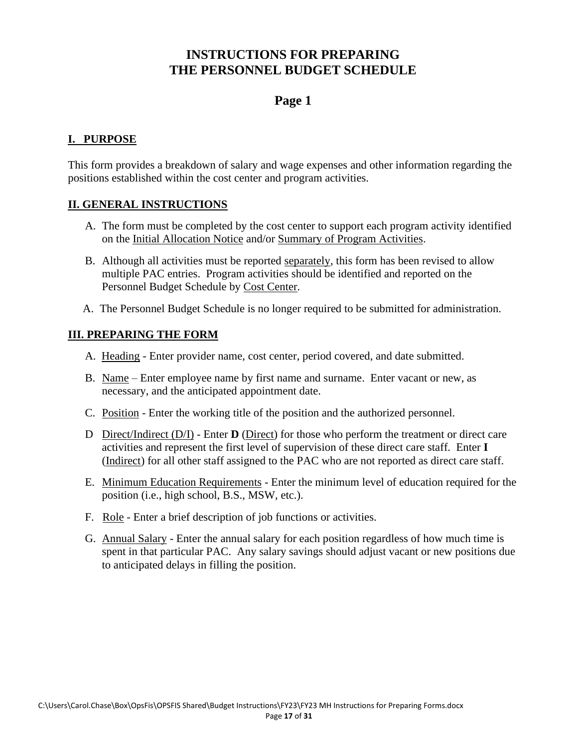### **INSTRUCTIONS FOR PREPARING THE PERSONNEL BUDGET SCHEDULE**

### **Page 1**

#### **I. PURPOSE**

This form provides a breakdown of salary and wage expenses and other information regarding the positions established within the cost center and program activities.

#### **II. GENERAL INSTRUCTIONS**

- A. The form must be completed by the cost center to support each program activity identified on the Initial Allocation Notice and/or Summary of Program Activities.
- B. Although all activities must be reported separately, this form has been revised to allow multiple PAC entries. Program activities should be identified and reported on the Personnel Budget Schedule by Cost Center.
- A. The Personnel Budget Schedule is no longer required to be submitted for administration.

- A. Heading Enter provider name, cost center, period covered, and date submitted.
- B. Name Enter employee name by first name and surname. Enter vacant or new, as necessary, and the anticipated appointment date.
- C. Position Enter the working title of the position and the authorized personnel.
- D Direct/Indirect (D/I) Enter **D** (Direct) for those who perform the treatment or direct care activities and represent the first level of supervision of these direct care staff. Enter **I** (Indirect) for all other staff assigned to the PAC who are not reported as direct care staff.
- E. Minimum Education Requirements Enter the minimum level of education required for the position (i.e., high school, B.S., MSW, etc.).
- F. Role Enter a brief description of job functions or activities.
- G. Annual Salary Enter the annual salary for each position regardless of how much time is spent in that particular PAC. Any salary savings should adjust vacant or new positions due to anticipated delays in filling the position.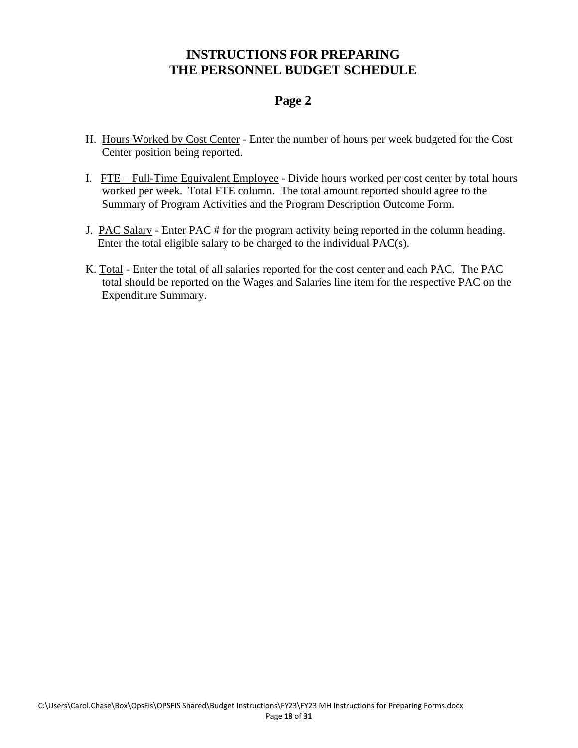### **INSTRUCTIONS FOR PREPARING THE PERSONNEL BUDGET SCHEDULE**

### **Page 2**

- H. Hours Worked by Cost Center Enter the number of hours per week budgeted for the Cost Center position being reported.
- I. FTE Full-Time Equivalent Employee Divide hours worked per cost center by total hours worked per week. Total FTE column. The total amount reported should agree to the Summary of Program Activities and the Program Description Outcome Form.
- J. PAC Salary Enter PAC # for the program activity being reported in the column heading. Enter the total eligible salary to be charged to the individual PAC(s).
- K. Total Enter the total of all salaries reported for the cost center and each PAC. The PAC total should be reported on the Wages and Salaries line item for the respective PAC on the Expenditure Summary.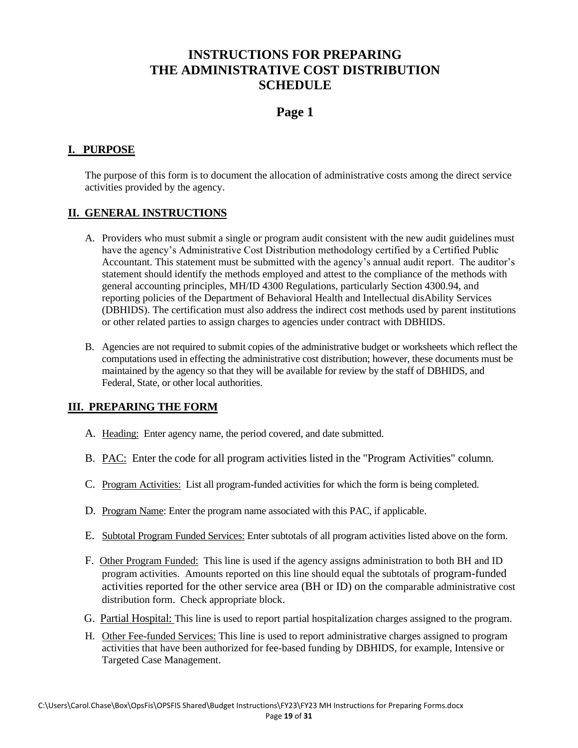### **INSTRUCTIONS FOR PREPARING THE ADMINISTRATIVE COST DISTRIBUTION SCHEDULE**

#### **Page 1**

#### **I. PURPOSE**

The purpose of this form is to document the allocation of administrative costs among the direct service activities provided by the agency.

#### **II. GENERAL INSTRUCTIONS**

- A. Providers who must submit a single or program audit consistent with the new audit guidelines must have the agency's Administrative Cost Distribution methodology certified by a Certified Public Accountant. This statement must be submitted with the agency's annual audit report. The auditor's statement should identify the methods employed and attest to the compliance of the methods with general accounting principles, MH/ID 4300 Regulations, particularly Section 4300.94, and reporting policies of the Department of Behavioral Health and Intellectual disAbility Services (DBHIDS). The certification must also address the indirect cost methods used by parent institutions or other related parties to assign charges to agencies under contract with DBHIDS.
- B. Agencies are not required to submit copies of the administrative budget or worksheets which reflect the computations used in effecting the administrative cost distribution; however, these documents must be maintained by the agency so that they will be available for review by the staff of DBHIDS, and Federal, State, or other local authorities.

- A. Heading: Enter agency name, the period covered, and date submitted.
- B. PAC: Enter the code for all program activities listed in the "Program Activities" column.
- C. Program Activities: List all program-funded activities for which the form is being completed.
- D. Program Name: Enter the program name associated with this PAC, if applicable.
- E. Subtotal Program Funded Services: Enter subtotals of all program activities listed above on the form.
- F. Other Program Funded: This line is used if the agency assigns administration to both BH and ID program activities. Amounts reported on this line should equal the subtotals of program-funded activities reported for the other service area (BH or ID) on the comparable administrative cost distribution form. Check appropriate block.
- G. Partial Hospital: This line is used to report partial hospitalization charges assigned to the program.
- H. Other Fee-funded Services: This line is used to report administrative charges assigned to program activities that have been authorized for fee-based funding by DBHIDS, for example, Intensive or Targeted Case Management.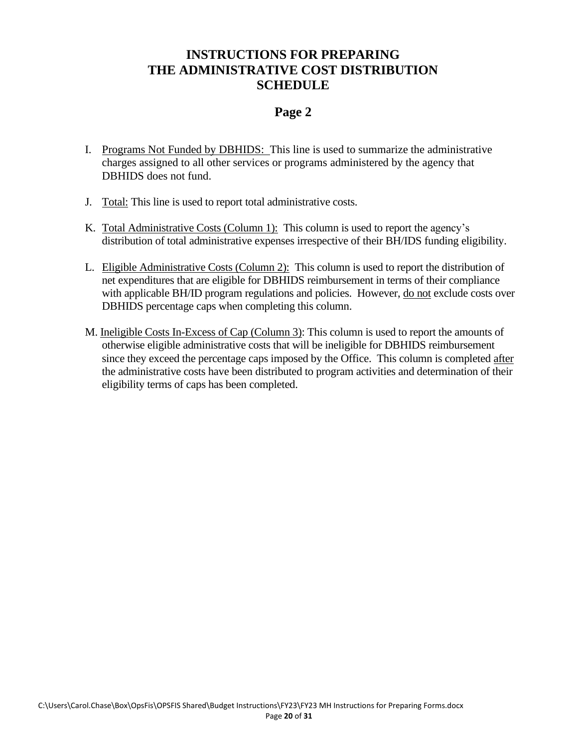### **INSTRUCTIONS FOR PREPARING THE ADMINISTRATIVE COST DISTRIBUTION SCHEDULE**

#### **Page 2**

- I. Programs Not Funded by DBHIDS: This line is used to summarize the administrative charges assigned to all other services or programs administered by the agency that DBHIDS does not fund.
- J. Total: This line is used to report total administrative costs.
- K. Total Administrative Costs (Column 1): This column is used to report the agency's distribution of total administrative expenses irrespective of their BH/IDS funding eligibility.
- L. Eligible Administrative Costs (Column 2): This column is used to report the distribution of net expenditures that are eligible for DBHIDS reimbursement in terms of their compliance with applicable BH/ID program regulations and policies. However, do not exclude costs over DBHIDS percentage caps when completing this column.
- M. Ineligible Costs In-Excess of Cap (Column 3): This column is used to report the amounts of otherwise eligible administrative costs that will be ineligible for DBHIDS reimbursement since they exceed the percentage caps imposed by the Office. This column is completed after the administrative costs have been distributed to program activities and determination of their eligibility terms of caps has been completed.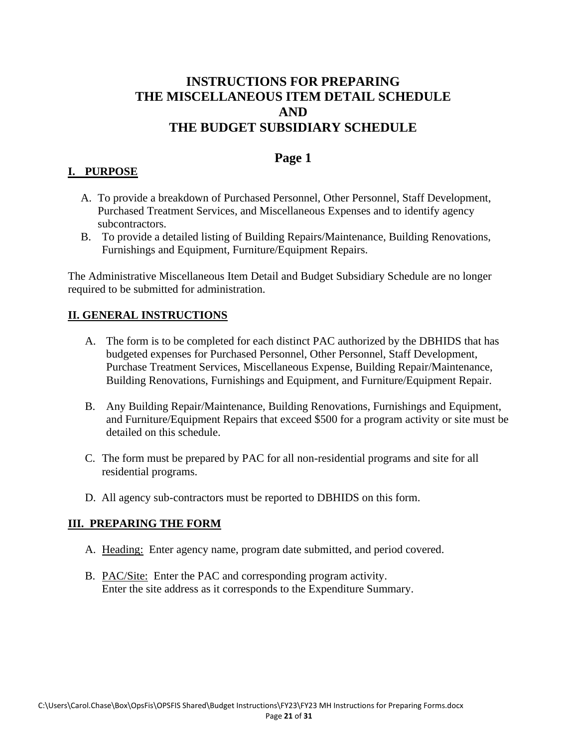### **INSTRUCTIONS FOR PREPARING THE MISCELLANEOUS ITEM DETAIL SCHEDULE AND THE BUDGET SUBSIDIARY SCHEDULE**

#### **Page 1**

#### **I. PURPOSE**

- A. To provide a breakdown of Purchased Personnel, Other Personnel, Staff Development, Purchased Treatment Services, and Miscellaneous Expenses and to identify agency subcontractors.
- B. To provide a detailed listing of Building Repairs/Maintenance, Building Renovations, Furnishings and Equipment, Furniture/Equipment Repairs.

The Administrative Miscellaneous Item Detail and Budget Subsidiary Schedule are no longer required to be submitted for administration.

#### **II. GENERAL INSTRUCTIONS**

- A. The form is to be completed for each distinct PAC authorized by the DBHIDS that has budgeted expenses for Purchased Personnel, Other Personnel, Staff Development, Purchase Treatment Services, Miscellaneous Expense, Building Repair/Maintenance, Building Renovations, Furnishings and Equipment, and Furniture/Equipment Repair.
- B. Any Building Repair/Maintenance, Building Renovations, Furnishings and Equipment, and Furniture/Equipment Repairs that exceed \$500 for a program activity or site must be detailed on this schedule.
- C. The form must be prepared by PAC for all non-residential programs and site for all residential programs.
- D. All agency sub-contractors must be reported to DBHIDS on this form.

- A. Heading: Enter agency name, program date submitted, and period covered.
- B. PAC/Site: Enter the PAC and corresponding program activity. Enter the site address as it corresponds to the Expenditure Summary.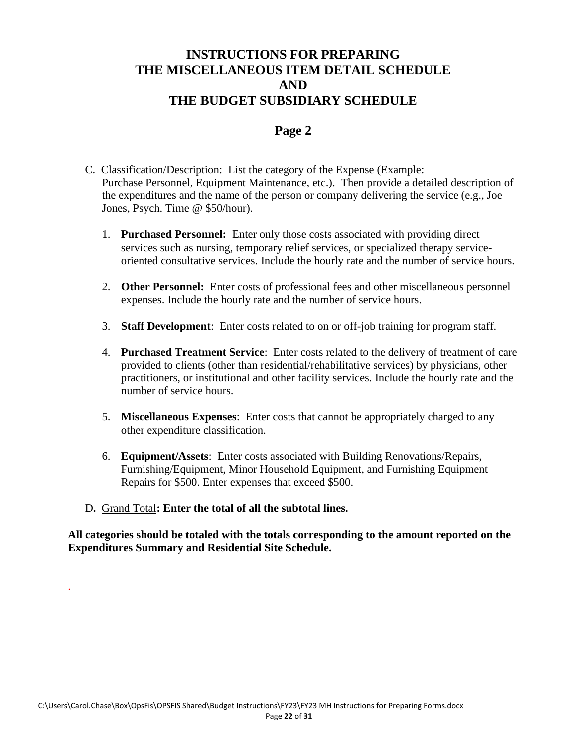### **INSTRUCTIONS FOR PREPARING THE MISCELLANEOUS ITEM DETAIL SCHEDULE AND THE BUDGET SUBSIDIARY SCHEDULE**

#### **Page 2**

- C. Classification/Description: List the category of the Expense (Example: Purchase Personnel, Equipment Maintenance, etc.). Then provide a detailed description of the expenditures and the name of the person or company delivering the service (e.g., Joe Jones, Psych. Time @ \$50/hour).
	- 1. **Purchased Personnel:** Enter only those costs associated with providing direct services such as nursing, temporary relief services, or specialized therapy serviceoriented consultative services. Include the hourly rate and the number of service hours.
	- 2. **Other Personnel:** Enter costs of professional fees and other miscellaneous personnel expenses. Include the hourly rate and the number of service hours.
	- 3. **Staff Development**: Enter costs related to on or off-job training for program staff.
	- 4. **Purchased Treatment Service**: Enter costs related to the delivery of treatment of care provided to clients (other than residential/rehabilitative services) by physicians, other practitioners, or institutional and other facility services. Include the hourly rate and the number of service hours.
	- 5. **Miscellaneous Expenses**: Enter costs that cannot be appropriately charged to any other expenditure classification.
	- 6. **Equipment/Assets**: Enter costs associated with Building Renovations/Repairs, Furnishing/Equipment, Minor Household Equipment, and Furnishing Equipment Repairs for \$500. Enter expenses that exceed \$500.
- D**.** Grand Total**: Enter the total of all the subtotal lines.**

.

**All categories should be totaled with the totals corresponding to the amount reported on the Expenditures Summary and Residential Site Schedule.**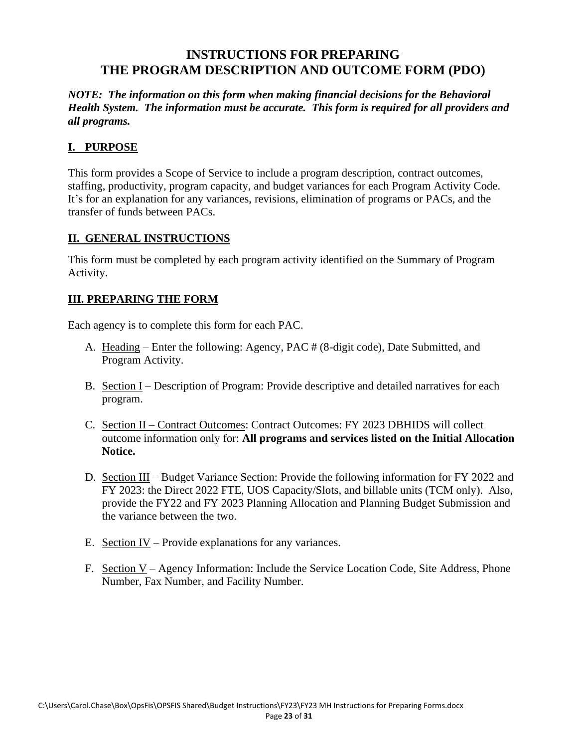### **INSTRUCTIONS FOR PREPARING THE PROGRAM DESCRIPTION AND OUTCOME FORM (PDO)**

*NOTE: The information on this form when making financial decisions for the Behavioral Health System. The information must be accurate. This form is required for all providers and all programs.*

#### **I. PURPOSE**

This form provides a Scope of Service to include a program description, contract outcomes, staffing, productivity, program capacity, and budget variances for each Program Activity Code. It's for an explanation for any variances, revisions, elimination of programs or PACs, and the transfer of funds between PACs.

#### **II. GENERAL INSTRUCTIONS**

This form must be completed by each program activity identified on the Summary of Program Activity.

#### **III. PREPARING THE FORM**

Each agency is to complete this form for each PAC.

- A. Heading Enter the following: Agency, PAC # (8-digit code), Date Submitted, and Program Activity.
- B. Section I Description of Program: Provide descriptive and detailed narratives for each program.
- C. Section II Contract Outcomes: Contract Outcomes: FY 2023 DBHIDS will collect outcome information only for: **All programs and services listed on the Initial Allocation Notice.**
- D. Section III Budget Variance Section: Provide the following information for FY 2022 and FY 2023: the Direct 2022 FTE, UOS Capacity/Slots, and billable units (TCM only). Also, provide the FY22 and FY 2023 Planning Allocation and Planning Budget Submission and the variance between the two.
- E. Section IV Provide explanations for any variances.
- F. Section V Agency Information: Include the Service Location Code, Site Address, Phone Number, Fax Number, and Facility Number.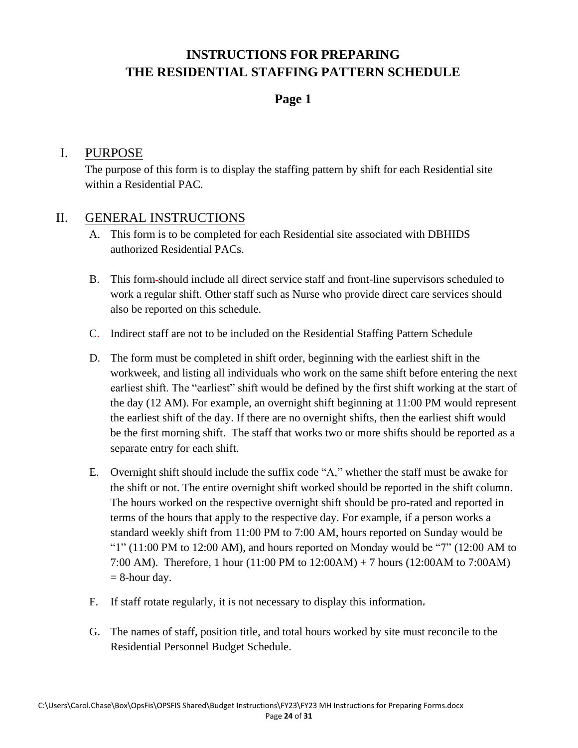#### **Page 1**

#### I. PURPOSE

The purpose of this form is to display the staffing pattern by shift for each Residential site within a Residential PAC.

#### II. GENERAL INSTRUCTIONS

- A. This form is to be completed for each Residential site associated with DBHIDS authorized Residential PACs.
- B. This form should include all direct service staff and front-line supervisors scheduled to work a regular shift. Other staff such as Nurse who provide direct care services should also be reported on this schedule.
- C. Indirect staff are not to be included on the Residential Staffing Pattern Schedule
- D. The form must be completed in shift order, beginning with the earliest shift in the workweek, and listing all individuals who work on the same shift before entering the next earliest shift. The "earliest" shift would be defined by the first shift working at the start of the day (12 AM). For example, an overnight shift beginning at 11:00 PM would represent the earliest shift of the day. If there are no overnight shifts, then the earliest shift would be the first morning shift. The staff that works two or more shifts should be reported as a separate entry for each shift.
- E. Overnight shift should include the suffix code "A," whether the staff must be awake for the shift or not. The entire overnight shift worked should be reported in the shift column. The hours worked on the respective overnight shift should be pro-rated and reported in terms of the hours that apply to the respective day. For example, if a person works a standard weekly shift from 11:00 PM to 7:00 AM, hours reported on Sunday would be " $1"$  (11:00 PM to 12:00 AM), and hours reported on Monday would be "7" (12:00 AM to 7:00 AM). Therefore, 1 hour (11:00 PM to 12:00AM) + 7 hours (12:00AM to 7:00AM)  $= 8$ -hour day.
- F. If staff rotate regularly, it is not necessary to display this information.
- G. The names of staff, position title, and total hours worked by site must reconcile to the Residential Personnel Budget Schedule.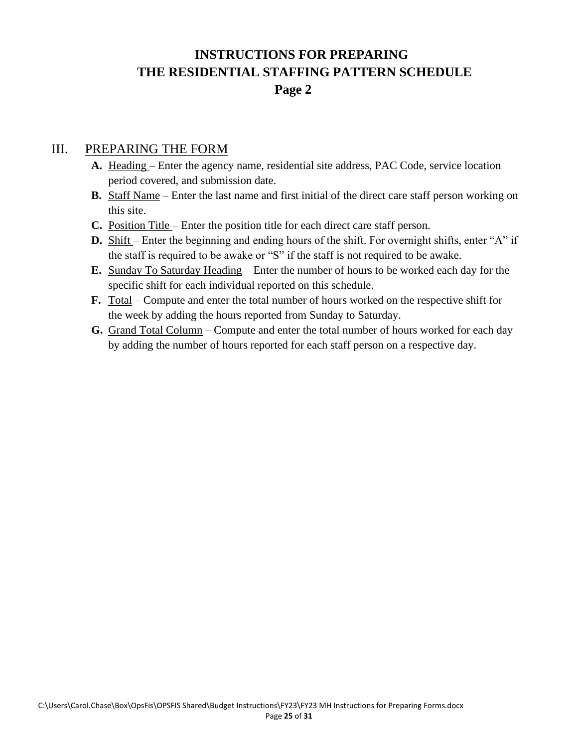# **INSTRUCTIONS FOR PREPARING THE RESIDENTIAL STAFFING PATTERN SCHEDULE Page 2**

- **A.** Heading Enter the agency name, residential site address, PAC Code, service location period covered, and submission date.
- **B.** Staff Name Enter the last name and first initial of the direct care staff person working on this site.
- **C.** Position Title Enter the position title for each direct care staff person.
- **D.** Shift Enter the beginning and ending hours of the shift. For overnight shifts, enter "A" if the staff is required to be awake or "S" if the staff is not required to be awake.
- **E.** Sunday To Saturday Heading Enter the number of hours to be worked each day for the specific shift for each individual reported on this schedule.
- **F.** Total Compute and enter the total number of hours worked on the respective shift for the week by adding the hours reported from Sunday to Saturday.
- **G.** Grand Total Column Compute and enter the total number of hours worked for each day by adding the number of hours reported for each staff person on a respective day.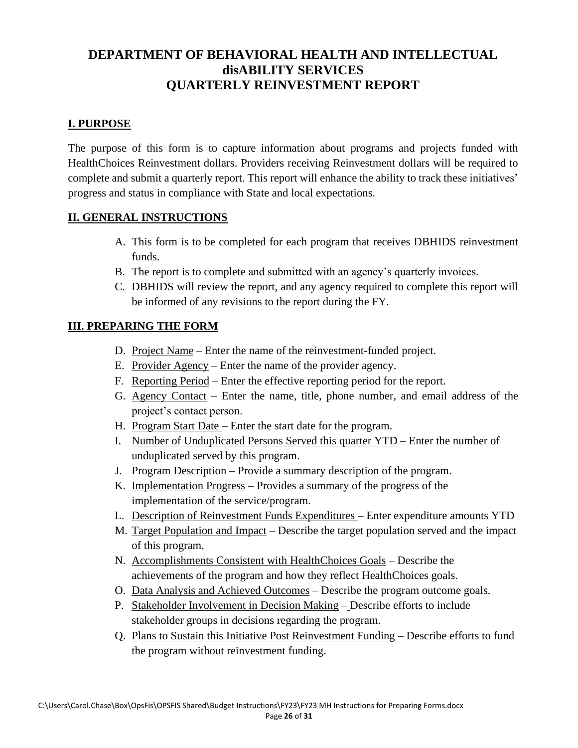### **DEPARTMENT OF BEHAVIORAL HEALTH AND INTELLECTUAL disABILITY SERVICES QUARTERLY REINVESTMENT REPORT**

#### **I. PURPOSE**

The purpose of this form is to capture information about programs and projects funded with HealthChoices Reinvestment dollars. Providers receiving Reinvestment dollars will be required to complete and submit a quarterly report. This report will enhance the ability to track these initiatives' progress and status in compliance with State and local expectations.

#### **II. GENERAL INSTRUCTIONS**

- A. This form is to be completed for each program that receives DBHIDS reinvestment funds.
- B. The report is to complete and submitted with an agency's quarterly invoices.
- C. DBHIDS will review the report, and any agency required to complete this report will be informed of any revisions to the report during the FY.

- D. Project Name Enter the name of the reinvestment-funded project.
- E. Provider Agency Enter the name of the provider agency.
- F. Reporting Period Enter the effective reporting period for the report.
- G. Agency Contact Enter the name, title, phone number, and email address of the project's contact person.
- H. Program Start Date Enter the start date for the program.
- I. Number of Unduplicated Persons Served this quarter YTD Enter the number of unduplicated served by this program.
- J. Program Description Provide a summary description of the program.
- K. Implementation Progress Provides a summary of the progress of the implementation of the service/program.
- L. Description of Reinvestment Funds Expenditures Enter expenditure amounts YTD
- M. Target Population and Impact Describe the target population served and the impact of this program.
- N. Accomplishments Consistent with HealthChoices Goals Describe the achievements of the program and how they reflect HealthChoices goals.
- O. Data Analysis and Achieved Outcomes Describe the program outcome goals.
- P. Stakeholder Involvement in Decision Making Describe efforts to include stakeholder groups in decisions regarding the program.
- Q. Plans to Sustain this Initiative Post Reinvestment Funding Describe efforts to fund the program without reinvestment funding.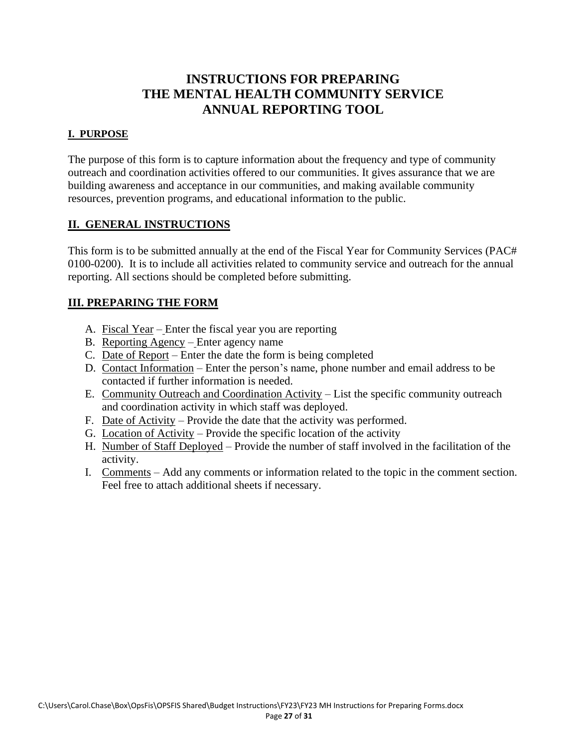### **INSTRUCTIONS FOR PREPARING THE MENTAL HEALTH COMMUNITY SERVICE ANNUAL REPORTING TOOL**

#### **I. PURPOSE**

The purpose of this form is to capture information about the frequency and type of community outreach and coordination activities offered to our communities. It gives assurance that we are building awareness and acceptance in our communities, and making available community resources, prevention programs, and educational information to the public.

#### **II. GENERAL INSTRUCTIONS**

This form is to be submitted annually at the end of the Fiscal Year for Community Services (PAC# 0100-0200). It is to include all activities related to community service and outreach for the annual reporting. All sections should be completed before submitting.

- A. Fiscal Year Enter the fiscal year you are reporting
- B. Reporting Agency Enter agency name
- C. Date of Report Enter the date the form is being completed
- D. Contact Information Enter the person's name, phone number and email address to be contacted if further information is needed.
- E. Community Outreach and Coordination Activity List the specific community outreach and coordination activity in which staff was deployed.
- F. Date of Activity Provide the date that the activity was performed.
- G. Location of Activity Provide the specific location of the activity
- H. Number of Staff Deployed Provide the number of staff involved in the facilitation of the activity.
- I. Comments Add any comments or information related to the topic in the comment section. Feel free to attach additional sheets if necessary.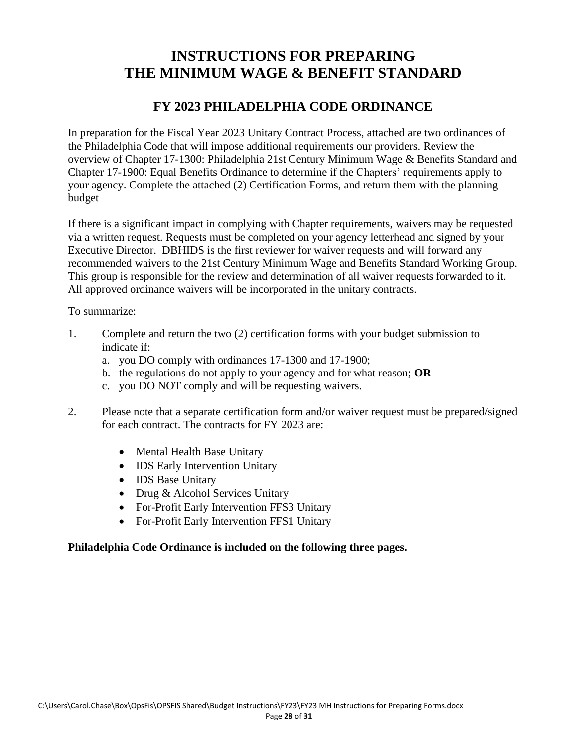# **INSTRUCTIONS FOR PREPARING THE MINIMUM WAGE & BENEFIT STANDARD**

#### **FY 2023 PHILADELPHIA CODE ORDINANCE**

In preparation for the Fiscal Year 2023 Unitary Contract Process, attached are two ordinances of the Philadelphia Code that will impose additional requirements our providers. Review the overview of Chapter 17-1300: Philadelphia 21st Century Minimum Wage & Benefits Standard and Chapter 17-1900: Equal Benefits Ordinance to determine if the Chapters' requirements apply to your agency. Complete the attached (2) Certification Forms, and return them with the planning budget

If there is a significant impact in complying with Chapter requirements, waivers may be requested via a written request. Requests must be completed on your agency letterhead and signed by your Executive Director. DBHIDS is the first reviewer for waiver requests and will forward any recommended waivers to the 21st Century Minimum Wage and Benefits Standard Working Group. This group is responsible for the review and determination of all waiver requests forwarded to it. All approved ordinance waivers will be incorporated in the unitary contracts.

To summarize:

- 1. Complete and return the two (2) certification forms with your budget submission to indicate if:
	- a. you DO comply with ordinances 17-1300 and 17-1900;
	- b. the regulations do not apply to your agency and for what reason; **OR**
	- c. you DO NOT comply and will be requesting waivers.
- 2. Please note that a separate certification form and/or waiver request must be prepared/signed for each contract. The contracts for FY 2023 are:
	- Mental Health Base Unitary
	- IDS Early Intervention Unitary
	- IDS Base Unitary
	- Drug & Alcohol Services Unitary
	- For-Profit Early Intervention FFS3 Unitary
	- For-Profit Early Intervention FFS1 Unitary

#### **Philadelphia Code Ordinance is included on the following three pages.**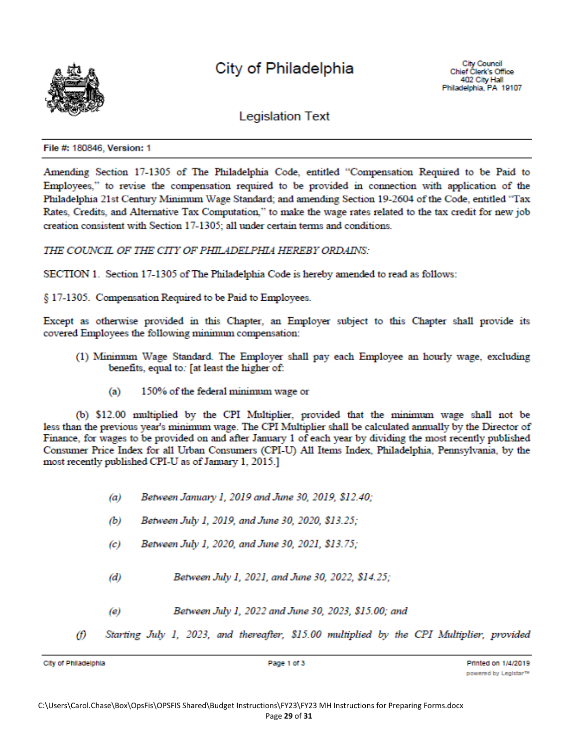

# City of Philadelphia

**Legislation Text** 

File #: 180846, Version: 1

Amending Section 17-1305 of The Philadelphia Code, entitled "Compensation Required to be Paid to Employees," to revise the compensation required to be provided in connection with application of the Philadelphia 21st Century Minimum Wage Standard; and amending Section 19-2604 of the Code, entitled "Tax Rates, Credits, and Alternative Tax Computation," to make the wage rates related to the tax credit for new job creation consistent with Section 17-1305; all under certain terms and conditions.

THE COUNCIL OF THE CITY OF PHILADELPHIA HEREBY ORDAINS:

SECTION 1. Section 17-1305 of The Philadelphia Code is hereby amended to read as follows:

§ 17-1305. Compensation Required to be Paid to Employees.

Except as otherwise provided in this Chapter, an Employer subject to this Chapter shall provide its covered Employees the following minimum compensation:

- (1) Minimum Wage Standard. The Employer shall pay each Employee an hourly wage, excluding benefits, equal to: [at least the higher of:
	- 150% of the federal minimum wage or  $(a)$

(b) \$12.00 multiplied by the CPI Multiplier, provided that the minimum wage shall not be less than the previous year's minimum wage. The CPI Multiplier shall be calculated annually by the Director of Finance, for wages to be provided on and after January 1 of each year by dividing the most recently published Consumer Price Index for all Urban Consumers (CPI-U) All Items Index, Philadelphia, Pennsylvania, by the most recently published CPI-U as of January 1, 2015.]

- Between January 1, 2019 and June 30, 2019, \$12.40;  $(a)$
- Between July 1, 2019, and June 30, 2020, \$13.25;  $(b)$
- Between July 1, 2020, and June 30, 2021, \$13.75;  $\left( c\right)$
- Between July 1, 2021, and June 30, 2022, \$14.25;  $(d)$
- $(e)$ Between July 1, 2022 and June 30, 2023, \$15.00; and
- 60 Starting July 1, 2023, and thereafter, \$15.00 multiplied by the CPI Multiplier, provided

City of Philadelphia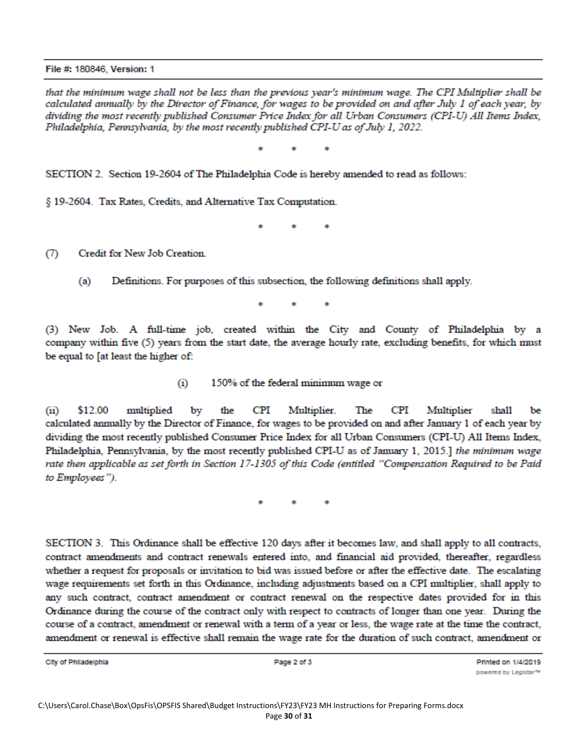File #: 180846, Version: 1

that the minimum wage shall not be less than the previous year's minimum wage. The CPI Multiplier shall be calculated annually by the Director of Finance, for wages to be provided on and after July 1 of each year, by dividing the most recently published Consumer Price Index for all Urban Consumers (CPI-U) All Items Index, Philadelphia, Pennsylvania, by the most recently published CPI-U as of July 1, 2022.

sk.

SECTION 2. Section 19-2604 of The Philadelphia Code is hereby amended to read as follows:

§ 19-2604. Tax Rates, Credits, and Alternative Tax Computation.

Credit for New Job Creation.  $(7)$ 

> Definitions. For purposes of this subsection, the following definitions shall apply.  $(a)$

(3) New Job. A full-time job, created within the City and County of Philadelphia by a company within five (5) years from the start date, the average hourly rate, excluding benefits, for which must be equal to [at least the higher of:

> $(i)$ 150% of the federal minimum wage or

 $(ii)$ \$12.00 multiplied by the **CPI** Multiplier. The CPI Multiplier shall be calculated annually by the Director of Finance, for wages to be provided on and after January 1 of each year by dividing the most recently published Consumer Price Index for all Urban Consumers (CPI-U) All Items Index, Philadelphia, Pennsylvania, by the most recently published CPI-U as of January 1, 2015.] the minimum wage rate then applicable as set forth in Section 17-1305 of this Code (entitled "Compensation Required to be Paid to Employees").

SECTION 3. This Ordinance shall be effective 120 days after it becomes law, and shall apply to all contracts, contract amendments and contract renewals entered into, and financial aid provided, thereafter, regardless whether a request for proposals or invitation to bid was issued before or after the effective date. The escalating wage requirements set forth in this Ordinance, including adjustments based on a CPI multiplier, shall apply to any such contract, contract amendment or contract renewal on the respective dates provided for in this Ordinance during the course of the contract only with respect to contracts of longer than one year. During the course of a contract, amendment or renewal with a term of a year or less, the wage rate at the time the contract, amendment or renewal is effective shall remain the wage rate for the duration of such contract, amendment or